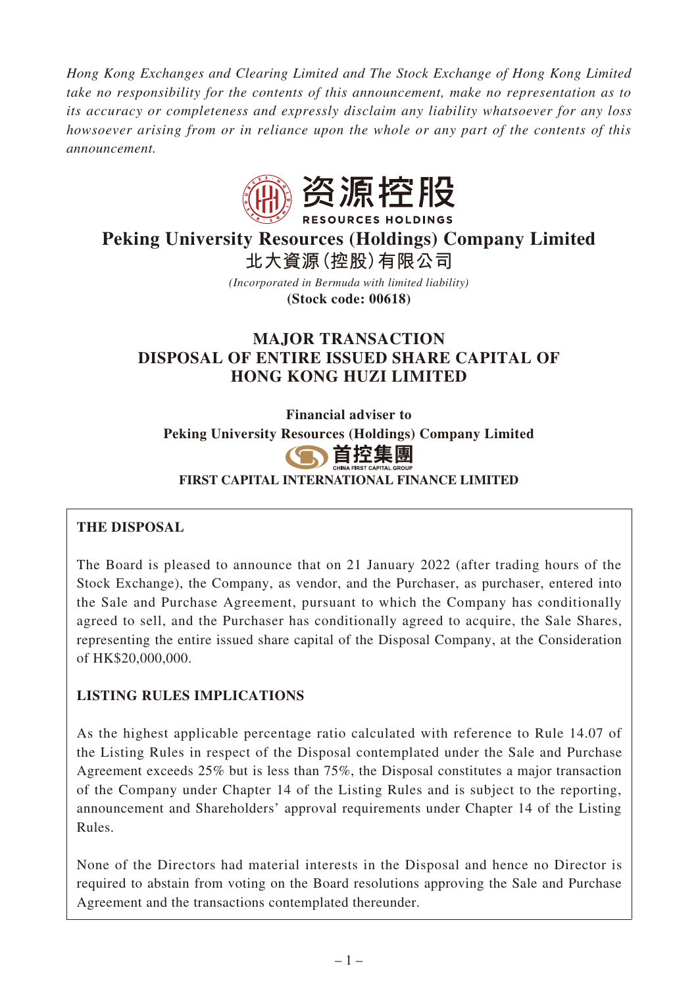*Hong Kong Exchanges and Clearing Limited and The Stock Exchange of Hong Kong Limited take no responsibility for the contents of this announcement, make no representation as to its accuracy or completeness and expressly disclaim any liability whatsoever for any loss howsoever arising from or in reliance upon the whole or any part of the contents of this announcement.*



# **Peking University Resources (Holdings) Company Limited 北大資源(控股)有限公司**

*(Incorporated in Bermuda with limited liability)* **(Stock code: 00618)**

# **MAJOR TRANSACTION DISPOSAL OF ENTIRE ISSUED SHARE CAPITAL OF HONG KONG HUZI LIMITED**

**Financial adviser to Peking University Resources (Holdings) Company Limited**



**FIRST CAPITAL INTERNATIONAL FINANCE LIMITED**

# **THE DISPOSAL**

The Board is pleased to announce that on 21 January 2022 (after trading hours of the Stock Exchange), the Company, as vendor, and the Purchaser, as purchaser, entered into the Sale and Purchase Agreement, pursuant to which the Company has conditionally agreed to sell, and the Purchaser has conditionally agreed to acquire, the Sale Shares, representing the entire issued share capital of the Disposal Company, at the Consideration of HK\$20,000,000.

# **LISTING RULES IMPLICATIONS**

As the highest applicable percentage ratio calculated with reference to Rule 14.07 of the Listing Rules in respect of the Disposal contemplated under the Sale and Purchase Agreement exceeds 25% but is less than 75%, the Disposal constitutes a major transaction of the Company under Chapter 14 of the Listing Rules and is subject to the reporting, announcement and Shareholders' approval requirements under Chapter 14 of the Listing Rules.

None of the Directors had material interests in the Disposal and hence no Director is required to abstain from voting on the Board resolutions approving the Sale and Purchase Agreement and the transactions contemplated thereunder.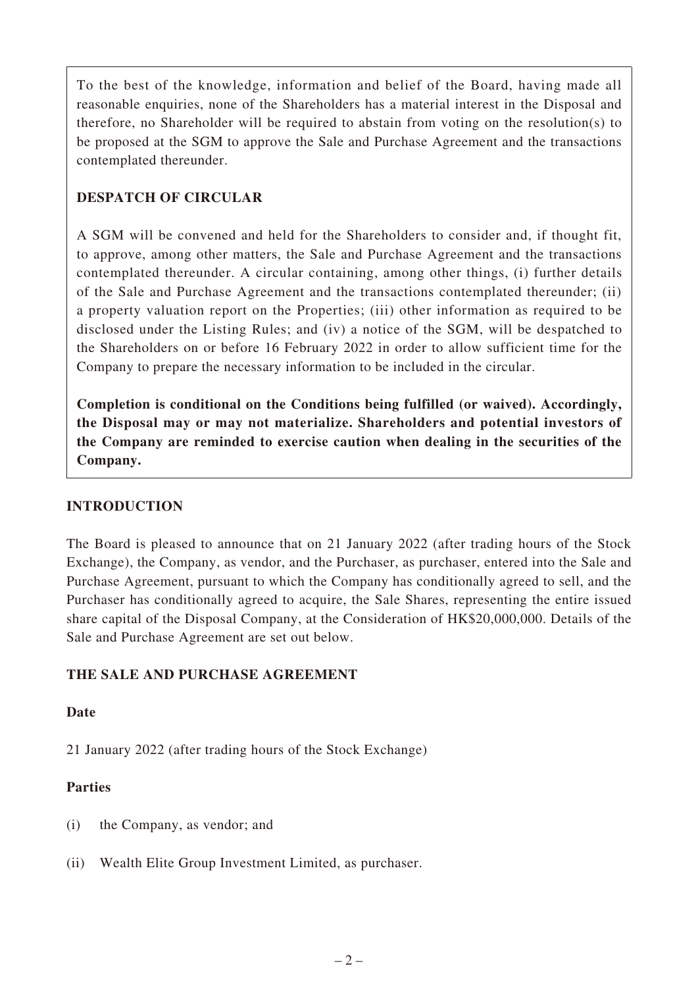To the best of the knowledge, information and belief of the Board, having made all reasonable enquiries, none of the Shareholders has a material interest in the Disposal and therefore, no Shareholder will be required to abstain from voting on the resolution(s) to be proposed at the SGM to approve the Sale and Purchase Agreement and the transactions contemplated thereunder.

### **DESPATCH OF CIRCULAR**

A SGM will be convened and held for the Shareholders to consider and, if thought fit, to approve, among other matters, the Sale and Purchase Agreement and the transactions contemplated thereunder. A circular containing, among other things, (i) further details of the Sale and Purchase Agreement and the transactions contemplated thereunder; (ii) a property valuation report on the Properties; (iii) other information as required to be disclosed under the Listing Rules; and (iv) a notice of the SGM, will be despatched to the Shareholders on or before 16 February 2022 in order to allow sufficient time for the Company to prepare the necessary information to be included in the circular.

**Completion is conditional on the Conditions being fulfilled (or waived). Accordingly, the Disposal may or may not materialize. Shareholders and potential investors of the Company are reminded to exercise caution when dealing in the securities of the Company.**

### **INTRODUCTION**

The Board is pleased to announce that on 21 January 2022 (after trading hours of the Stock Exchange), the Company, as vendor, and the Purchaser, as purchaser, entered into the Sale and Purchase Agreement, pursuant to which the Company has conditionally agreed to sell, and the Purchaser has conditionally agreed to acquire, the Sale Shares, representing the entire issued share capital of the Disposal Company, at the Consideration of HK\$20,000,000. Details of the Sale and Purchase Agreement are set out below.

### **THE SALE AND PURCHASE AGREEMENT**

### **Date**

21 January 2022 (after trading hours of the Stock Exchange)

# **Parties**

- (i) the Company, as vendor; and
- (ii) Wealth Elite Group Investment Limited, as purchaser.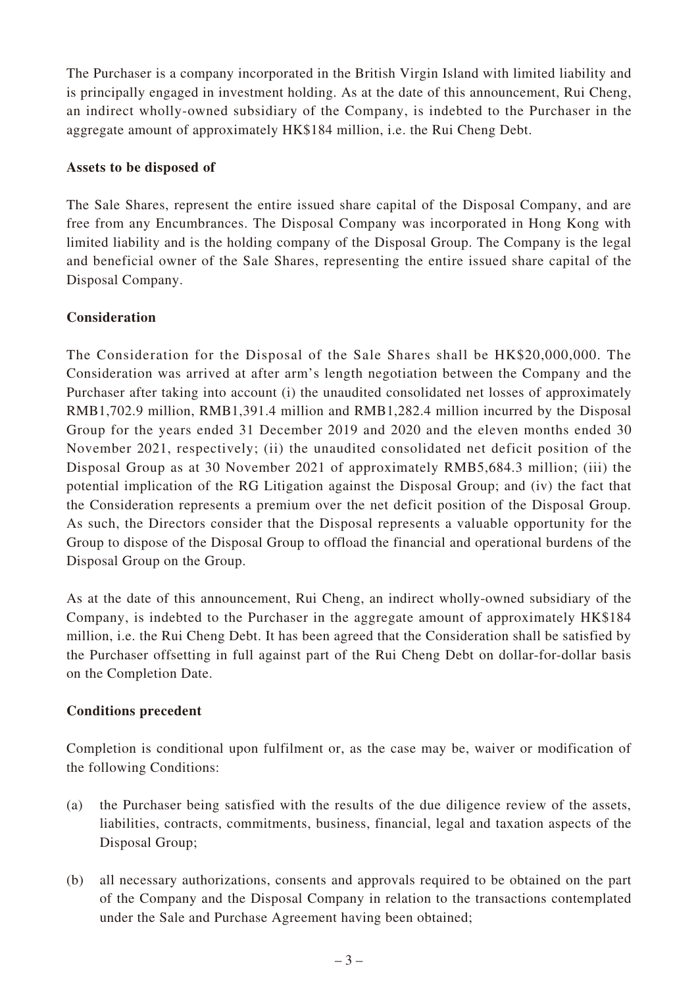The Purchaser is a company incorporated in the British Virgin Island with limited liability and is principally engaged in investment holding. As at the date of this announcement, Rui Cheng, an indirect wholly-owned subsidiary of the Company, is indebted to the Purchaser in the aggregate amount of approximately HK\$184 million, i.e. the Rui Cheng Debt.

### **Assets to be disposed of**

The Sale Shares, represent the entire issued share capital of the Disposal Company, and are free from any Encumbrances. The Disposal Company was incorporated in Hong Kong with limited liability and is the holding company of the Disposal Group. The Company is the legal and beneficial owner of the Sale Shares, representing the entire issued share capital of the Disposal Company.

### **Consideration**

The Consideration for the Disposal of the Sale Shares shall be HK\$20,000,000. The Consideration was arrived at after arm's length negotiation between the Company and the Purchaser after taking into account (i) the unaudited consolidated net losses of approximately RMB1,702.9 million, RMB1,391.4 million and RMB1,282.4 million incurred by the Disposal Group for the years ended 31 December 2019 and 2020 and the eleven months ended 30 November 2021, respectively; (ii) the unaudited consolidated net deficit position of the Disposal Group as at 30 November 2021 of approximately RMB5,684.3 million; (iii) the potential implication of the RG Litigation against the Disposal Group; and (iv) the fact that the Consideration represents a premium over the net deficit position of the Disposal Group. As such, the Directors consider that the Disposal represents a valuable opportunity for the Group to dispose of the Disposal Group to offload the financial and operational burdens of the Disposal Group on the Group.

As at the date of this announcement, Rui Cheng, an indirect wholly-owned subsidiary of the Company, is indebted to the Purchaser in the aggregate amount of approximately HK\$184 million, i.e. the Rui Cheng Debt. It has been agreed that the Consideration shall be satisfied by the Purchaser offsetting in full against part of the Rui Cheng Debt on dollar-for-dollar basis on the Completion Date.

### **Conditions precedent**

Completion is conditional upon fulfilment or, as the case may be, waiver or modification of the following Conditions:

- (a) the Purchaser being satisfied with the results of the due diligence review of the assets, liabilities, contracts, commitments, business, financial, legal and taxation aspects of the Disposal Group;
- (b) all necessary authorizations, consents and approvals required to be obtained on the part of the Company and the Disposal Company in relation to the transactions contemplated under the Sale and Purchase Agreement having been obtained;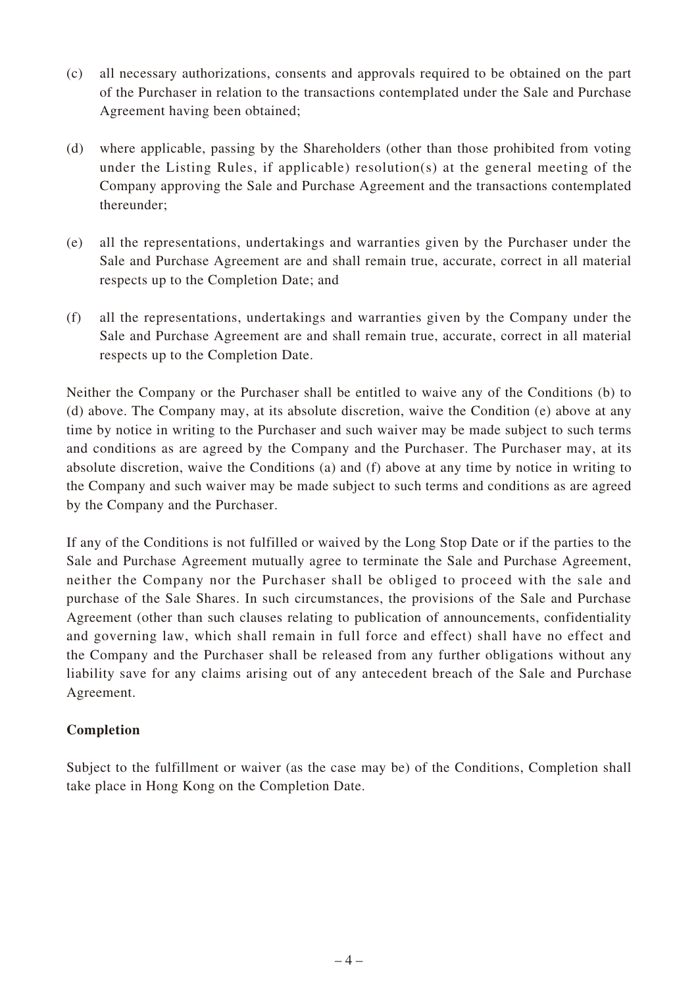- (c) all necessary authorizations, consents and approvals required to be obtained on the part of the Purchaser in relation to the transactions contemplated under the Sale and Purchase Agreement having been obtained;
- (d) where applicable, passing by the Shareholders (other than those prohibited from voting under the Listing Rules, if applicable) resolution(s) at the general meeting of the Company approving the Sale and Purchase Agreement and the transactions contemplated thereunder;
- (e) all the representations, undertakings and warranties given by the Purchaser under the Sale and Purchase Agreement are and shall remain true, accurate, correct in all material respects up to the Completion Date; and
- (f) all the representations, undertakings and warranties given by the Company under the Sale and Purchase Agreement are and shall remain true, accurate, correct in all material respects up to the Completion Date.

Neither the Company or the Purchaser shall be entitled to waive any of the Conditions (b) to (d) above. The Company may, at its absolute discretion, waive the Condition (e) above at any time by notice in writing to the Purchaser and such waiver may be made subject to such terms and conditions as are agreed by the Company and the Purchaser. The Purchaser may, at its absolute discretion, waive the Conditions (a) and (f) above at any time by notice in writing to the Company and such waiver may be made subject to such terms and conditions as are agreed by the Company and the Purchaser.

If any of the Conditions is not fulfilled or waived by the Long Stop Date or if the parties to the Sale and Purchase Agreement mutually agree to terminate the Sale and Purchase Agreement, neither the Company nor the Purchaser shall be obliged to proceed with the sale and purchase of the Sale Shares. In such circumstances, the provisions of the Sale and Purchase Agreement (other than such clauses relating to publication of announcements, confidentiality and governing law, which shall remain in full force and effect) shall have no effect and the Company and the Purchaser shall be released from any further obligations without any liability save for any claims arising out of any antecedent breach of the Sale and Purchase Agreement.

### **Completion**

Subject to the fulfillment or waiver (as the case may be) of the Conditions, Completion shall take place in Hong Kong on the Completion Date.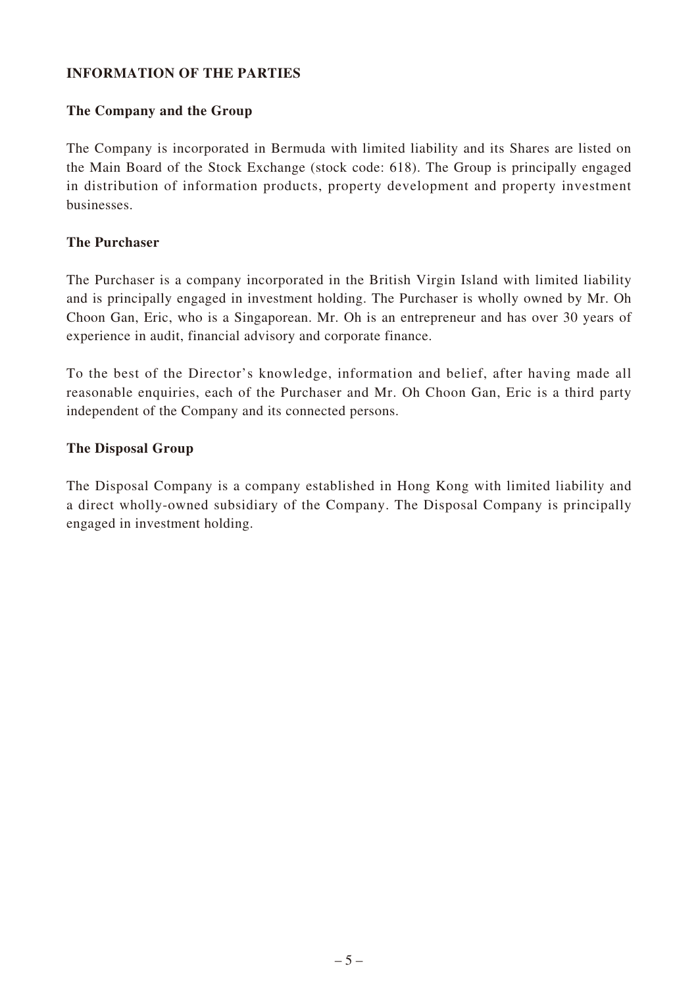### **INFORMATION OF THE PARTIES**

### **The Company and the Group**

The Company is incorporated in Bermuda with limited liability and its Shares are listed on the Main Board of the Stock Exchange (stock code: 618). The Group is principally engaged in distribution of information products, property development and property investment businesses.

### **The Purchaser**

The Purchaser is a company incorporated in the British Virgin Island with limited liability and is principally engaged in investment holding. The Purchaser is wholly owned by Mr. Oh Choon Gan, Eric, who is a Singaporean. Mr. Oh is an entrepreneur and has over 30 years of experience in audit, financial advisory and corporate finance.

To the best of the Director's knowledge, information and belief, after having made all reasonable enquiries, each of the Purchaser and Mr. Oh Choon Gan, Eric is a third party independent of the Company and its connected persons.

### **The Disposal Group**

The Disposal Company is a company established in Hong Kong with limited liability and a direct wholly-owned subsidiary of the Company. The Disposal Company is principally engaged in investment holding.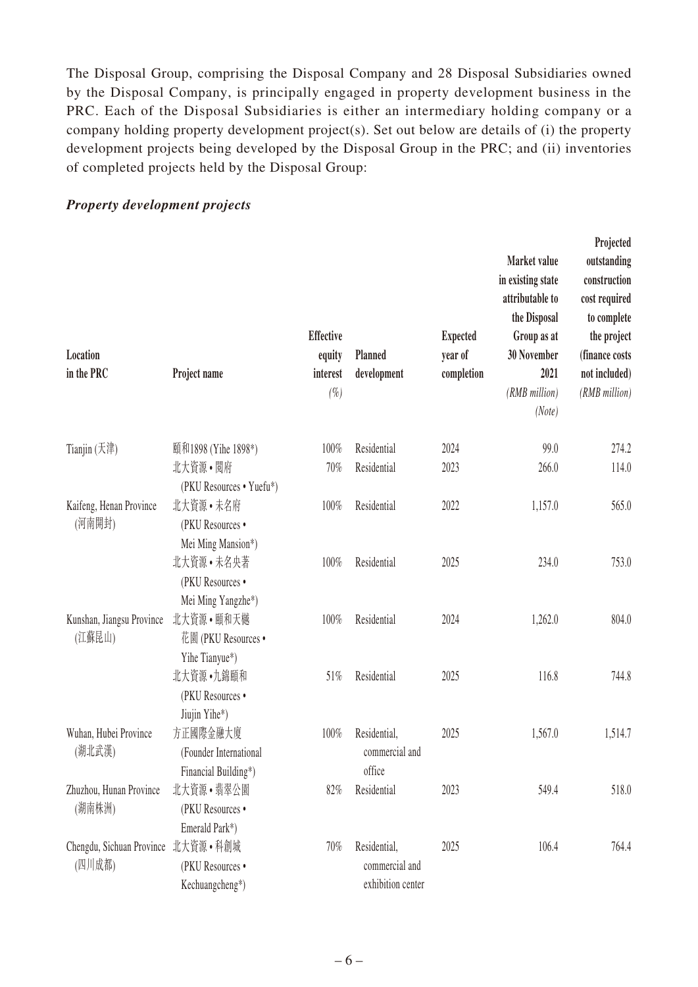The Disposal Group, comprising the Disposal Company and 28 Disposal Subsidiaries owned by the Disposal Company, is principally engaged in property development business in the PRC. Each of the Disposal Subsidiaries is either an intermediary holding company or a company holding property development project(s). Set out below are details of (i) the property development projects being developed by the Disposal Group in the PRC; and (ii) inventories of completed projects held by the Disposal Group:

#### **Location in the PRC Project name Effective equity interest Planned development Expected year of completion Market value in existing state attributable to the Disposal Group as at 30 November 2021 Projected outstanding construction cost required to complete the project (finance costs not included)** *(%) (RMB million) (RMB million) (Note)* Tianjin (天津) 頤和1898 (Yihe 1898\*) 100% Residential 2024 99.0 274.2 北大資源 • 閱府 (PKU Resources • Yuefu\*) 70% Residential 2023 266.0 114.0 Kaifeng, Henan Province (河南開封) 北大資源 • 未名府 (PKU Resources • Mei Ming Mansion\*) 100% Residential 2022 1.157.0 565.0 北大資源 • 未名央著 (PKU Resources • Mei Ming Yangzhe\*) 100% Residential 2025 234.0 753.0 Kunshan, Jiangsu Province (江蘇昆山) 北大資源 • 頤和天樾 花園 (PKU Resources • Yihe Tianyue\*) 100% Residential 2024 1,262.0 804.0 北大資源 •九錦頤和 (PKU Resources • Jiujin Yihe\*) 51% Residential 2025 116.8 744.8 Wuhan, Hubei Province (湖北武漢) 方正國際金融大廈 (Founder International Financial Building\*) 100% Residential, commercial and office 2025 1,567.0 1,514.7 Zhuzhou, Hunan Province (湖南株洲) 北大資源 • 翡翠公園 (PKU Resources • Emerald Park\*) 82% Residential 2023 549.4 518.0 Chengdu, Sichuan Province 北大資源 • 科創城 (四川成都) (PKU Resources • Kechuangcheng\*) 70% Residential, commercial and exhibition center 2025 106.4 764.4

#### *Property development projects*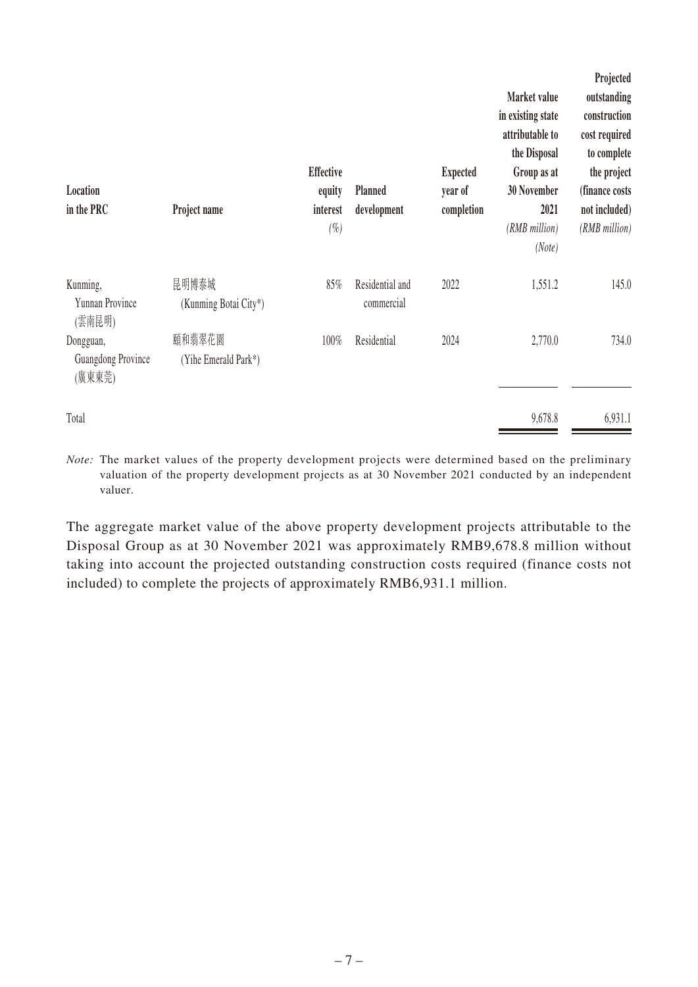| Location<br>in the PRC                    | Project name                   | <b>Effective</b><br>equity<br>interest<br>$(\%)$ | <b>Planned</b><br>development | <b>Expected</b><br>year of<br>completion | Market value<br>in existing state<br>attributable to<br>the Disposal<br>Group as at<br><b>30 November</b><br>2021<br>(RMB million)<br>(Note) | Projected<br>outstanding<br>construction<br>cost required<br>to complete<br>the project<br>(finance costs<br>not included)<br>(RMB million) |
|-------------------------------------------|--------------------------------|--------------------------------------------------|-------------------------------|------------------------------------------|----------------------------------------------------------------------------------------------------------------------------------------------|---------------------------------------------------------------------------------------------------------------------------------------------|
| Kunming,<br>Yunnan Province<br>(雲南昆明)     | 昆明博泰城<br>(Kunming Botai City*) | 85%                                              | Residential and<br>commercial | 2022                                     | 1,551.2                                                                                                                                      | 145.0                                                                                                                                       |
| Dongguan,<br>Guangdong Province<br>(廣東東莞) | 頤和翡翠花園<br>(Yihe Emerald Park*) | 100%                                             | Residential                   | 2024                                     | 2,770.0                                                                                                                                      | 734.0                                                                                                                                       |
| Total                                     |                                |                                                  |                               |                                          | 9,678.8                                                                                                                                      | 6,931.1                                                                                                                                     |

*Note:* The market values of the property development projects were determined based on the preliminary valuation of the property development projects as at 30 November 2021 conducted by an independent valuer.

The aggregate market value of the above property development projects attributable to the Disposal Group as at 30 November 2021 was approximately RMB9,678.8 million without taking into account the projected outstanding construction costs required (finance costs not included) to complete the projects of approximately RMB6,931.1 million.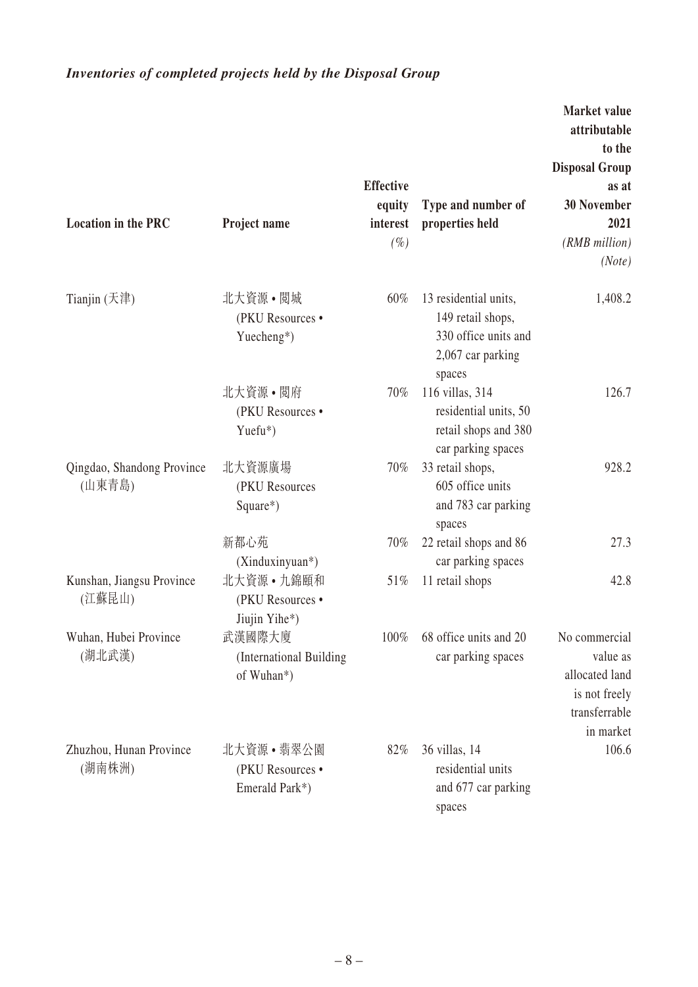# *Inventories of completed projects held by the Disposal Group*

|                                      |                                                  |                                                  |                                                                                                   | Market value<br>attributable<br>to the<br><b>Disposal Group</b>                            |
|--------------------------------------|--------------------------------------------------|--------------------------------------------------|---------------------------------------------------------------------------------------------------|--------------------------------------------------------------------------------------------|
| <b>Location in the PRC</b>           | Project name                                     | <b>Effective</b><br>equity<br>interest<br>$(\%)$ | Type and number of<br>properties held                                                             | as at<br><b>30 November</b><br>2021<br>(RMB million)<br>(Note)                             |
| Tianjin (天津)                         | 北大資源 • 閲城<br>(PKU Resources •<br>Yuecheng*)      | $60\%$                                           | 13 residential units,<br>149 retail shops,<br>330 office units and<br>2,067 car parking<br>spaces | 1,408.2                                                                                    |
|                                      | 北大資源•閲府<br>(PKU Resources ·<br>$Y$ uefu*)        | 70%                                              | 116 villas, 314<br>residential units, 50<br>retail shops and 380<br>car parking spaces            | 126.7                                                                                      |
| Qingdao, Shandong Province<br>(山東青島) | 北大資源廣場<br>(PKU Resources<br>Square*)             | $70\%$                                           | 33 retail shops,<br>605 office units<br>and 783 car parking<br>spaces                             | 928.2                                                                                      |
|                                      | 新都心苑<br>(Xinduxinyuan*)                          | 70%                                              | 22 retail shops and 86<br>car parking spaces                                                      | 27.3                                                                                       |
| Kunshan, Jiangsu Province<br>(江蘇昆山)  | 北大資源 • 九錦頤和<br>(PKU Resources ·<br>Jiujin Yihe*) | 51%                                              | 11 retail shops                                                                                   | 42.8                                                                                       |
| Wuhan, Hubei Province<br>(湖北武漢)      | 武漢國際大廈<br>(International Building<br>of Wuhan*)  | 100%                                             | 68 office units and 20<br>car parking spaces                                                      | No commercial<br>value as<br>allocated land<br>is not freely<br>transferrable<br>in market |
| Zhuzhou, Hunan Province<br>(湖南株洲)    | 北大資源•翡翠公園<br>(PKU Resources •<br>Emerald Park*)  | 82%                                              | 36 villas, 14<br>residential units<br>and 677 car parking<br>spaces                               | 106.6                                                                                      |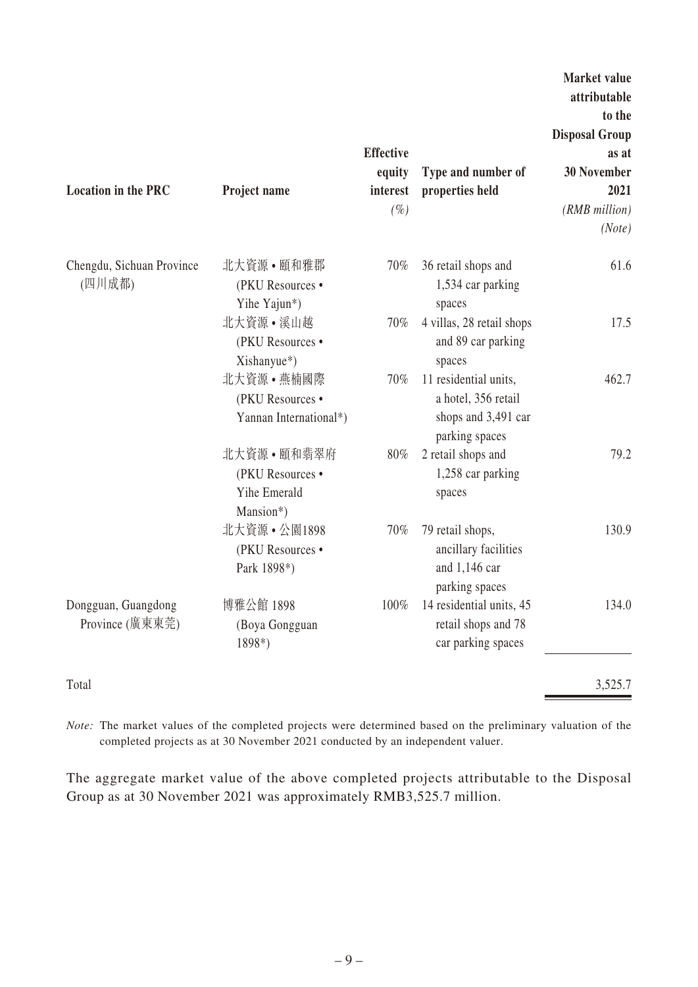| <b>Location in the PRC</b>             | Project name                                                  | <b>Effective</b><br>equity<br>interest<br>$(\%)$ | Type and number of<br>properties held                                                 | Market value<br>attributable<br>to the<br><b>Disposal Group</b><br>as at<br><b>30 November</b><br>2021<br>(RMB million)<br>(Note) |
|----------------------------------------|---------------------------------------------------------------|--------------------------------------------------|---------------------------------------------------------------------------------------|-----------------------------------------------------------------------------------------------------------------------------------|
| Chengdu, Sichuan Province<br>(四川成都)    | 北大資源•頤和雅郡<br>(PKU Resources •<br>Yihe Yajun*)                 | 70%                                              | 36 retail shops and<br>1,534 car parking<br>spaces                                    | 61.6                                                                                                                              |
|                                        | 北大資源 • 溪山越<br>(PKU Resources •<br>Xishanyue*)                 | 70%                                              | 4 villas, 28 retail shops<br>and 89 car parking<br>spaces                             | 17.5                                                                                                                              |
|                                        | 北大資源·燕楠國際<br>(PKU Resources ·<br>Yannan International*)       | 70%                                              | 11 residential units,<br>a hotel, 356 retail<br>shops and 3,491 car<br>parking spaces | 462.7                                                                                                                             |
|                                        | 北大資源 • 頤和翡翠府<br>(PKU Resources •<br>Yihe Emerald<br>Mansion*) | 80%                                              | 2 retail shops and<br>1,258 car parking<br>spaces                                     | 79.2                                                                                                                              |
|                                        | 北大資源 • 公園1898<br>(PKU Resources ·<br>Park 1898*)              | 70%                                              | 79 retail shops,<br>ancillary facilities<br>and 1,146 car<br>parking spaces           | 130.9                                                                                                                             |
| Dongguan, Guangdong<br>Province (廣東東莞) | 博雅公館 1898<br>(Boya Gongguan<br>1898*)                         | 100%                                             | 14 residential units, 45<br>retail shops and 78<br>car parking spaces                 | 134.0                                                                                                                             |
| Total                                  |                                                               |                                                  |                                                                                       | 3,525.7                                                                                                                           |

*Note:* The market values of the completed projects were determined based on the preliminary valuation of the completed projects as at 30 November 2021 conducted by an independent valuer.

The aggregate market value of the above completed projects attributable to the Disposal Group as at 30 November 2021 was approximately RMB3,525.7 million.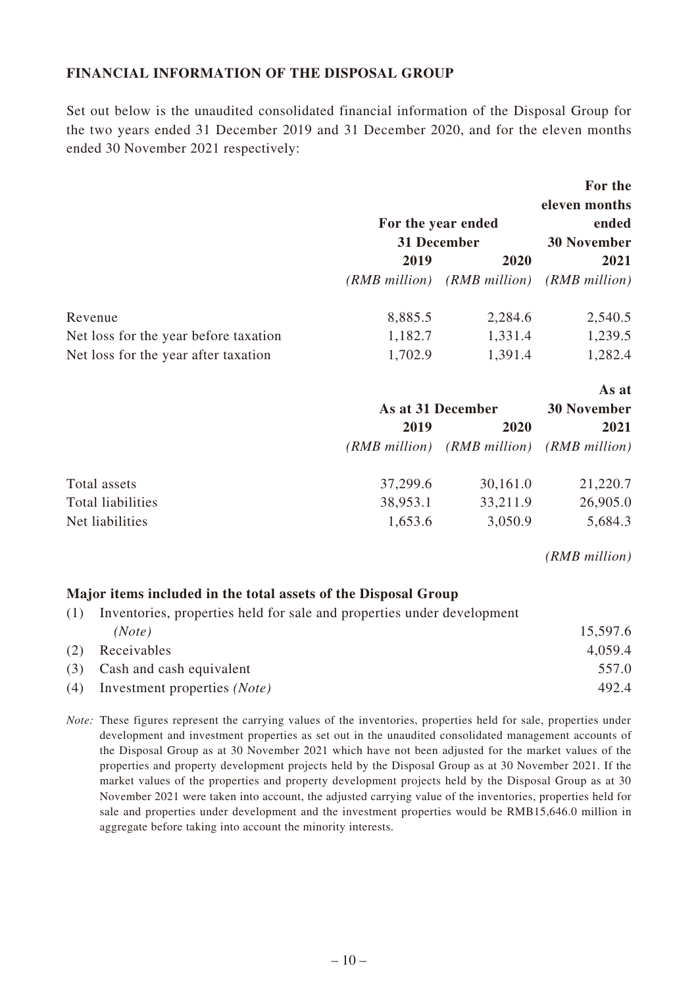### **FINANCIAL INFORMATION OF THE DISPOSAL GROUP**

Set out below is the unaudited consolidated financial information of the Disposal Group for the two years ended 31 December 2019 and 31 December 2020, and for the eleven months ended 30 November 2021 respectively:

|                                       |               | For the year ended<br>31 December | For the<br>eleven months<br>ended<br><b>30 November</b> |
|---------------------------------------|---------------|-----------------------------------|---------------------------------------------------------|
|                                       | 2019          | 2020                              | 2021                                                    |
|                                       |               |                                   | (RMB million) (RMB million) (RMB million)               |
| Revenue                               | 8,885.5       | 2,284.6                           | 2,540.5                                                 |
| Net loss for the year before taxation | 1,182.7       | 1,331.4                           | 1,239.5                                                 |
| Net loss for the year after taxation  | 1,702.9       | 1,391.4                           | 1,282.4                                                 |
|                                       |               |                                   | As at                                                   |
|                                       |               | As at 31 December                 | <b>30 November</b>                                      |
|                                       | 2019          | 2020                              | 2021                                                    |
|                                       | (RMB million) |                                   | (RMB million) (RMB million)                             |
| Total assets                          | 37,299.6      | 30,161.0                          | 21,220.7                                                |
| Total liabilities                     | 38,953.1      | 33,211.9                          | 26,905.0                                                |

*(RMB million)*

### **Major items included in the total assets of the Disposal Group**

| (1) | Inventories, properties held for sale and properties under development |          |
|-----|------------------------------------------------------------------------|----------|
|     | (Note)                                                                 | 15,597.6 |
| (2) | Receivables                                                            | 4,059.4  |
|     | (3) Cash and cash equivalent                                           | 557.0    |
| (4) | Investment properties (Note)                                           | 492.4    |

Net liabilities 1,653.6 3,050.9 5,684.3

*Note:* These figures represent the carrying values of the inventories, properties held for sale, properties under development and investment properties as set out in the unaudited consolidated management accounts of the Disposal Group as at 30 November 2021 which have not been adjusted for the market values of the properties and property development projects held by the Disposal Group as at 30 November 2021. If the market values of the properties and property development projects held by the Disposal Group as at 30 November 2021 were taken into account, the adjusted carrying value of the inventories, properties held for sale and properties under development and the investment properties would be RMB15,646.0 million in aggregate before taking into account the minority interests.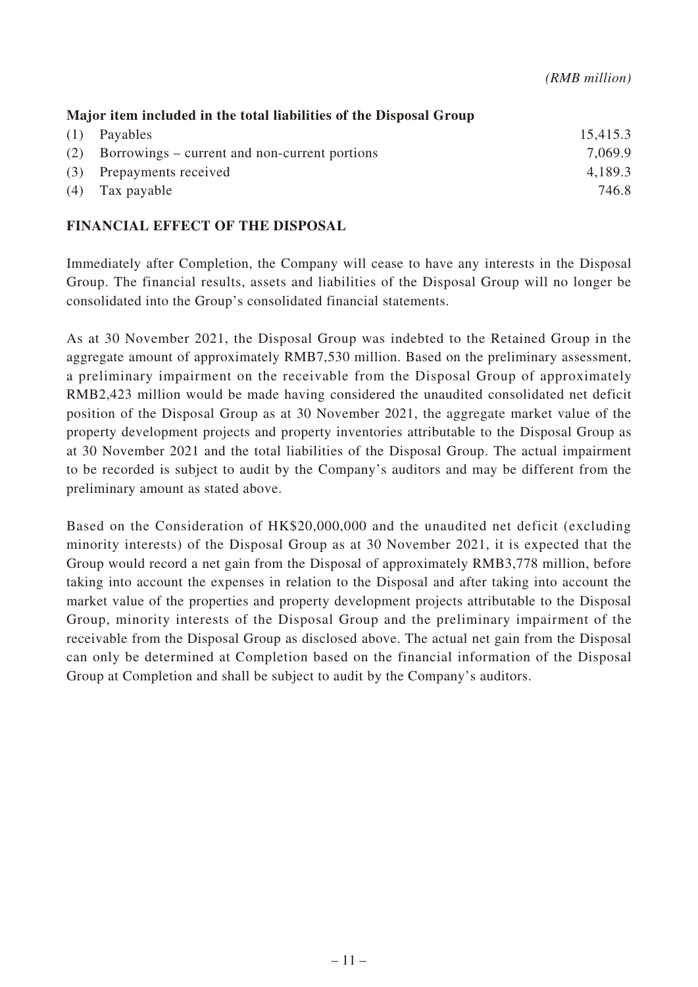| Major item included in the total liabilities of the Disposal Group |                                                   |          |
|--------------------------------------------------------------------|---------------------------------------------------|----------|
|                                                                    | $(1)$ Payables                                    | 15,415.3 |
|                                                                    | (2) Borrowings – current and non-current portions | 7.069.9  |
|                                                                    | (3) Prepayments received                          | 4,189.3  |
|                                                                    | $(4)$ Tax payable                                 | 746.8    |

### **FINANCIAL EFFECT OF THE DISPOSAL**

Immediately after Completion, the Company will cease to have any interests in the Disposal Group. The financial results, assets and liabilities of the Disposal Group will no longer be consolidated into the Group's consolidated financial statements.

As at 30 November 2021, the Disposal Group was indebted to the Retained Group in the aggregate amount of approximately RMB7,530 million. Based on the preliminary assessment, a preliminary impairment on the receivable from the Disposal Group of approximately RMB2,423 million would be made having considered the unaudited consolidated net deficit position of the Disposal Group as at 30 November 2021, the aggregate market value of the property development projects and property inventories attributable to the Disposal Group as at 30 November 2021 and the total liabilities of the Disposal Group. The actual impairment to be recorded is subject to audit by the Company's auditors and may be different from the preliminary amount as stated above.

Based on the Consideration of HK\$20,000,000 and the unaudited net deficit (excluding minority interests) of the Disposal Group as at 30 November 2021, it is expected that the Group would record a net gain from the Disposal of approximately RMB3,778 million, before taking into account the expenses in relation to the Disposal and after taking into account the market value of the properties and property development projects attributable to the Disposal Group, minority interests of the Disposal Group and the preliminary impairment of the receivable from the Disposal Group as disclosed above. The actual net gain from the Disposal can only be determined at Completion based on the financial information of the Disposal Group at Completion and shall be subject to audit by the Company's auditors.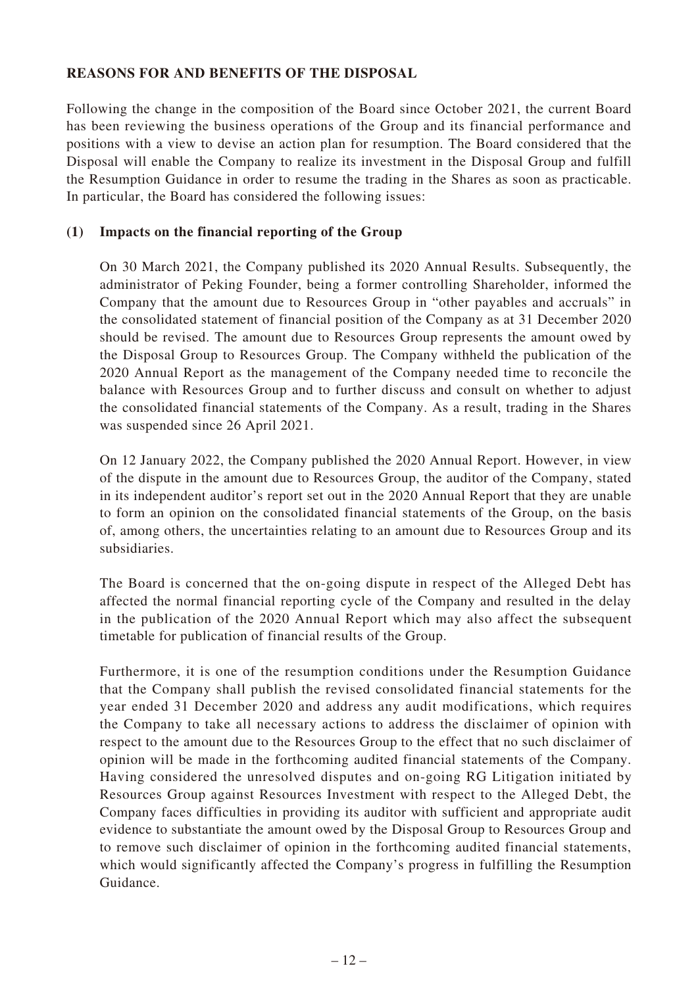### **REASONS FOR AND BENEFITS OF THE DISPOSAL**

Following the change in the composition of the Board since October 2021, the current Board has been reviewing the business operations of the Group and its financial performance and positions with a view to devise an action plan for resumption. The Board considered that the Disposal will enable the Company to realize its investment in the Disposal Group and fulfill the Resumption Guidance in order to resume the trading in the Shares as soon as practicable. In particular, the Board has considered the following issues:

### **(1) Impacts on the financial reporting of the Group**

On 30 March 2021, the Company published its 2020 Annual Results. Subsequently, the administrator of Peking Founder, being a former controlling Shareholder, informed the Company that the amount due to Resources Group in "other payables and accruals" in the consolidated statement of financial position of the Company as at 31 December 2020 should be revised. The amount due to Resources Group represents the amount owed by the Disposal Group to Resources Group. The Company withheld the publication of the 2020 Annual Report as the management of the Company needed time to reconcile the balance with Resources Group and to further discuss and consult on whether to adjust the consolidated financial statements of the Company. As a result, trading in the Shares was suspended since 26 April 2021.

On 12 January 2022, the Company published the 2020 Annual Report. However, in view of the dispute in the amount due to Resources Group, the auditor of the Company, stated in its independent auditor's report set out in the 2020 Annual Report that they are unable to form an opinion on the consolidated financial statements of the Group, on the basis of, among others, the uncertainties relating to an amount due to Resources Group and its subsidiaries.

The Board is concerned that the on-going dispute in respect of the Alleged Debt has affected the normal financial reporting cycle of the Company and resulted in the delay in the publication of the 2020 Annual Report which may also affect the subsequent timetable for publication of financial results of the Group.

Furthermore, it is one of the resumption conditions under the Resumption Guidance that the Company shall publish the revised consolidated financial statements for the year ended 31 December 2020 and address any audit modifications, which requires the Company to take all necessary actions to address the disclaimer of opinion with respect to the amount due to the Resources Group to the effect that no such disclaimer of opinion will be made in the forthcoming audited financial statements of the Company. Having considered the unresolved disputes and on-going RG Litigation initiated by Resources Group against Resources Investment with respect to the Alleged Debt, the Company faces difficulties in providing its auditor with sufficient and appropriate audit evidence to substantiate the amount owed by the Disposal Group to Resources Group and to remove such disclaimer of opinion in the forthcoming audited financial statements, which would significantly affected the Company's progress in fulfilling the Resumption Guidance.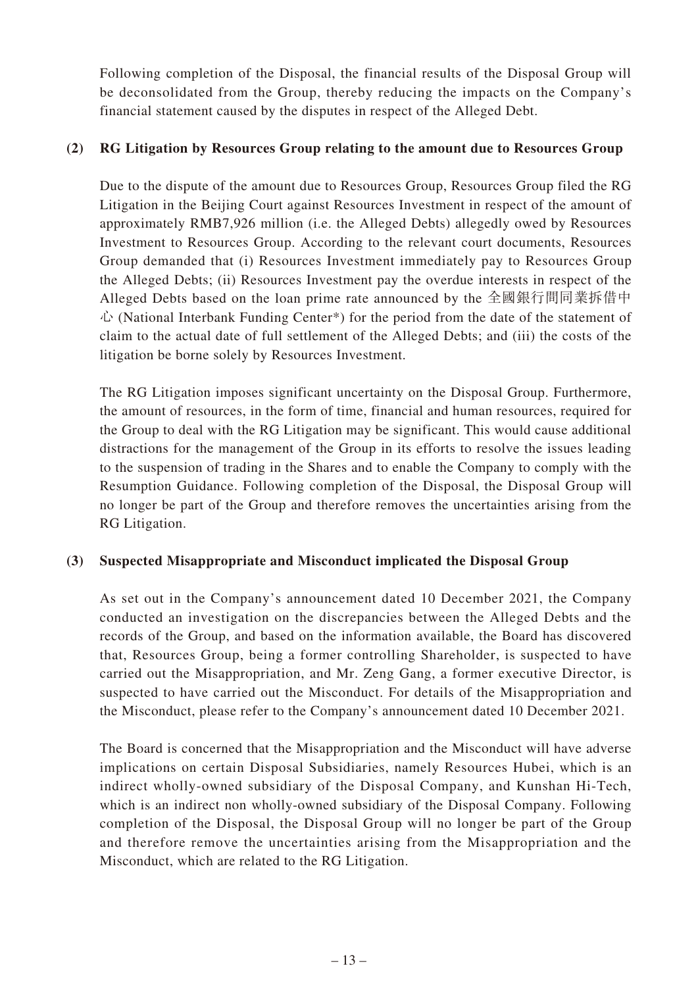Following completion of the Disposal, the financial results of the Disposal Group will be deconsolidated from the Group, thereby reducing the impacts on the Company's financial statement caused by the disputes in respect of the Alleged Debt.

### **(2) RG Litigation by Resources Group relating to the amount due to Resources Group**

Due to the dispute of the amount due to Resources Group, Resources Group filed the RG Litigation in the Beijing Court against Resources Investment in respect of the amount of approximately RMB7,926 million (i.e. the Alleged Debts) allegedly owed by Resources Investment to Resources Group. According to the relevant court documents, Resources Group demanded that (i) Resources Investment immediately pay to Resources Group the Alleged Debts; (ii) Resources Investment pay the overdue interests in respect of the Alleged Debts based on the loan prime rate announced by the 全國銀行間同業拆借中  $\dot{\mathcal{L}}$  (National Interbank Funding Center\*) for the period from the date of the statement of claim to the actual date of full settlement of the Alleged Debts; and (iii) the costs of the litigation be borne solely by Resources Investment.

The RG Litigation imposes significant uncertainty on the Disposal Group. Furthermore, the amount of resources, in the form of time, financial and human resources, required for the Group to deal with the RG Litigation may be significant. This would cause additional distractions for the management of the Group in its efforts to resolve the issues leading to the suspension of trading in the Shares and to enable the Company to comply with the Resumption Guidance. Following completion of the Disposal, the Disposal Group will no longer be part of the Group and therefore removes the uncertainties arising from the RG Litigation.

### **(3) Suspected Misappropriate and Misconduct implicated the Disposal Group**

As set out in the Company's announcement dated 10 December 2021, the Company conducted an investigation on the discrepancies between the Alleged Debts and the records of the Group, and based on the information available, the Board has discovered that, Resources Group, being a former controlling Shareholder, is suspected to have carried out the Misappropriation, and Mr. Zeng Gang, a former executive Director, is suspected to have carried out the Misconduct. For details of the Misappropriation and the Misconduct, please refer to the Company's announcement dated 10 December 2021.

The Board is concerned that the Misappropriation and the Misconduct will have adverse implications on certain Disposal Subsidiaries, namely Resources Hubei, which is an indirect wholly-owned subsidiary of the Disposal Company, and Kunshan Hi-Tech, which is an indirect non wholly-owned subsidiary of the Disposal Company. Following completion of the Disposal, the Disposal Group will no longer be part of the Group and therefore remove the uncertainties arising from the Misappropriation and the Misconduct, which are related to the RG Litigation.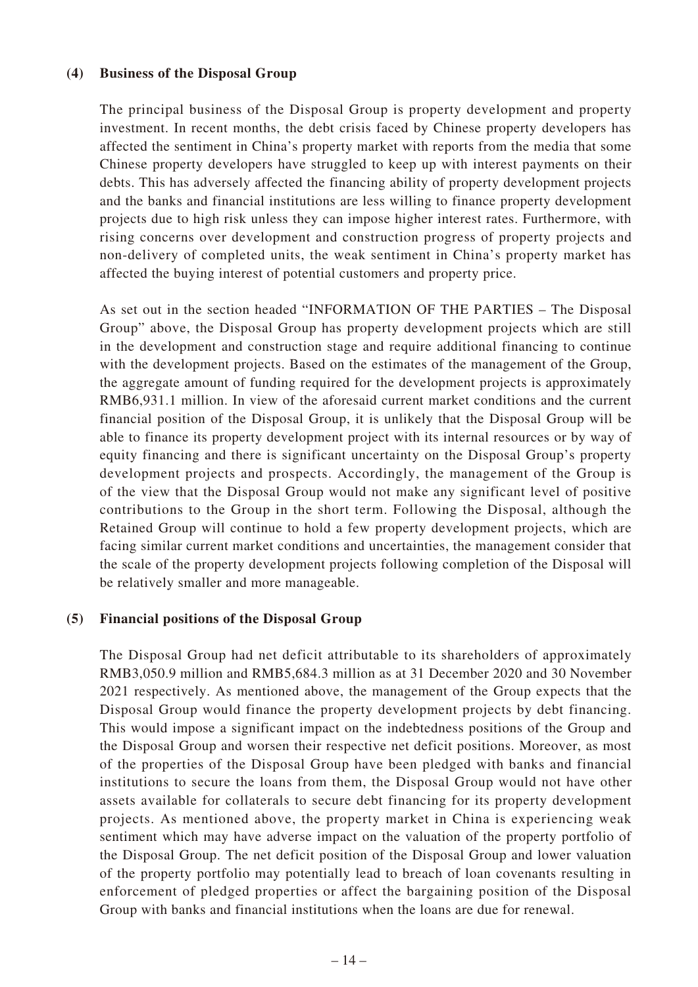### **(4) Business of the Disposal Group**

The principal business of the Disposal Group is property development and property investment. In recent months, the debt crisis faced by Chinese property developers has affected the sentiment in China's property market with reports from the media that some Chinese property developers have struggled to keep up with interest payments on their debts. This has adversely affected the financing ability of property development projects and the banks and financial institutions are less willing to finance property development projects due to high risk unless they can impose higher interest rates. Furthermore, with rising concerns over development and construction progress of property projects and non-delivery of completed units, the weak sentiment in China's property market has affected the buying interest of potential customers and property price.

As set out in the section headed "INFORMATION OF THE PARTIES – The Disposal Group" above, the Disposal Group has property development projects which are still in the development and construction stage and require additional financing to continue with the development projects. Based on the estimates of the management of the Group, the aggregate amount of funding required for the development projects is approximately RMB6,931.1 million. In view of the aforesaid current market conditions and the current financial position of the Disposal Group, it is unlikely that the Disposal Group will be able to finance its property development project with its internal resources or by way of equity financing and there is significant uncertainty on the Disposal Group's property development projects and prospects. Accordingly, the management of the Group is of the view that the Disposal Group would not make any significant level of positive contributions to the Group in the short term. Following the Disposal, although the Retained Group will continue to hold a few property development projects, which are facing similar current market conditions and uncertainties, the management consider that the scale of the property development projects following completion of the Disposal will be relatively smaller and more manageable.

### **(5) Financial positions of the Disposal Group**

The Disposal Group had net deficit attributable to its shareholders of approximately RMB3,050.9 million and RMB5,684.3 million as at 31 December 2020 and 30 November 2021 respectively. As mentioned above, the management of the Group expects that the Disposal Group would finance the property development projects by debt financing. This would impose a significant impact on the indebtedness positions of the Group and the Disposal Group and worsen their respective net deficit positions. Moreover, as most of the properties of the Disposal Group have been pledged with banks and financial institutions to secure the loans from them, the Disposal Group would not have other assets available for collaterals to secure debt financing for its property development projects. As mentioned above, the property market in China is experiencing weak sentiment which may have adverse impact on the valuation of the property portfolio of the Disposal Group. The net deficit position of the Disposal Group and lower valuation of the property portfolio may potentially lead to breach of loan covenants resulting in enforcement of pledged properties or affect the bargaining position of the Disposal Group with banks and financial institutions when the loans are due for renewal.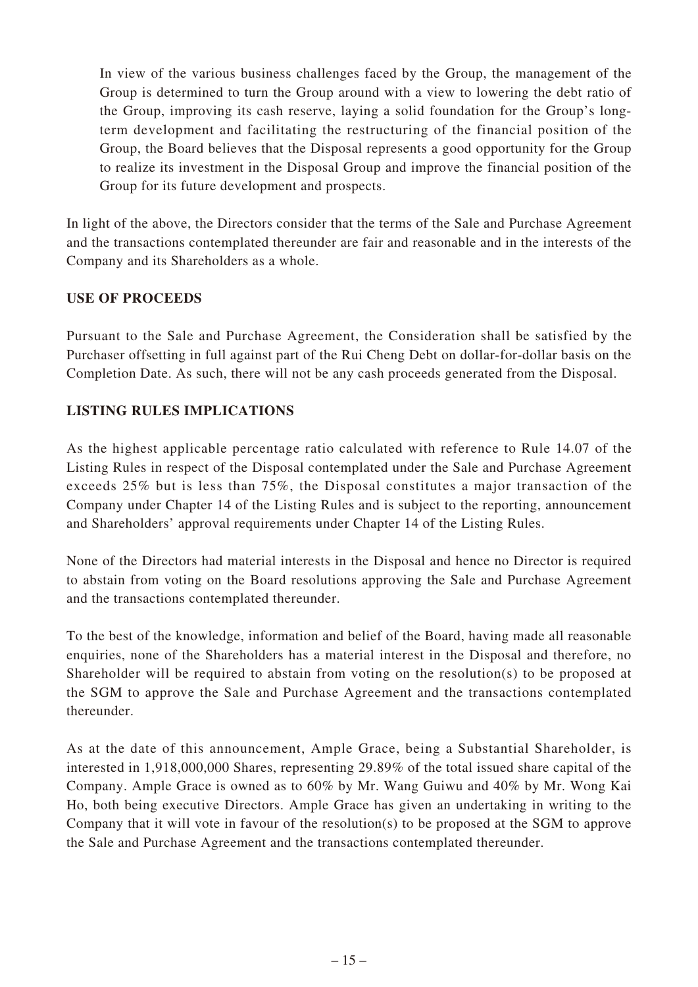In view of the various business challenges faced by the Group, the management of the Group is determined to turn the Group around with a view to lowering the debt ratio of the Group, improving its cash reserve, laying a solid foundation for the Group's longterm development and facilitating the restructuring of the financial position of the Group, the Board believes that the Disposal represents a good opportunity for the Group to realize its investment in the Disposal Group and improve the financial position of the Group for its future development and prospects.

In light of the above, the Directors consider that the terms of the Sale and Purchase Agreement and the transactions contemplated thereunder are fair and reasonable and in the interests of the Company and its Shareholders as a whole.

### **USE OF PROCEEDS**

Pursuant to the Sale and Purchase Agreement, the Consideration shall be satisfied by the Purchaser offsetting in full against part of the Rui Cheng Debt on dollar-for-dollar basis on the Completion Date. As such, there will not be any cash proceeds generated from the Disposal.

### **LISTING RULES IMPLICATIONS**

As the highest applicable percentage ratio calculated with reference to Rule 14.07 of the Listing Rules in respect of the Disposal contemplated under the Sale and Purchase Agreement exceeds 25% but is less than 75%, the Disposal constitutes a major transaction of the Company under Chapter 14 of the Listing Rules and is subject to the reporting, announcement and Shareholders' approval requirements under Chapter 14 of the Listing Rules.

None of the Directors had material interests in the Disposal and hence no Director is required to abstain from voting on the Board resolutions approving the Sale and Purchase Agreement and the transactions contemplated thereunder.

To the best of the knowledge, information and belief of the Board, having made all reasonable enquiries, none of the Shareholders has a material interest in the Disposal and therefore, no Shareholder will be required to abstain from voting on the resolution(s) to be proposed at the SGM to approve the Sale and Purchase Agreement and the transactions contemplated thereunder.

As at the date of this announcement, Ample Grace, being a Substantial Shareholder, is interested in 1,918,000,000 Shares, representing 29.89% of the total issued share capital of the Company. Ample Grace is owned as to 60% by Mr. Wang Guiwu and 40% by Mr. Wong Kai Ho, both being executive Directors. Ample Grace has given an undertaking in writing to the Company that it will vote in favour of the resolution(s) to be proposed at the SGM to approve the Sale and Purchase Agreement and the transactions contemplated thereunder.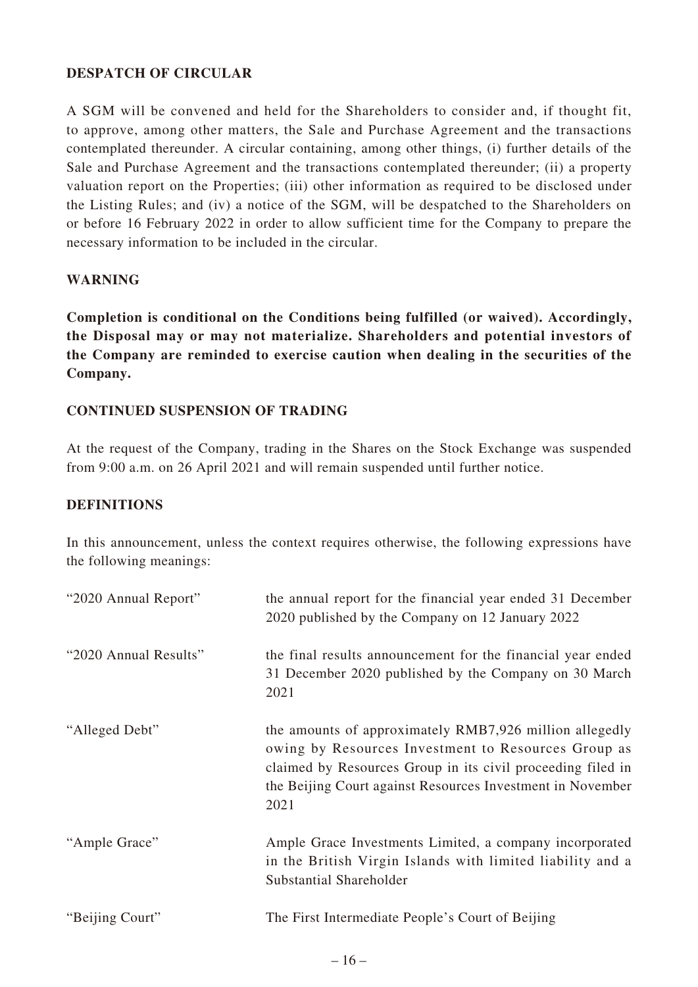### **DESPATCH OF CIRCULAR**

A SGM will be convened and held for the Shareholders to consider and, if thought fit, to approve, among other matters, the Sale and Purchase Agreement and the transactions contemplated thereunder. A circular containing, among other things, (i) further details of the Sale and Purchase Agreement and the transactions contemplated thereunder; (ii) a property valuation report on the Properties; (iii) other information as required to be disclosed under the Listing Rules; and (iv) a notice of the SGM, will be despatched to the Shareholders on or before 16 February 2022 in order to allow sufficient time for the Company to prepare the necessary information to be included in the circular.

### **WARNING**

**Completion is conditional on the Conditions being fulfilled (or waived). Accordingly, the Disposal may or may not materialize. Shareholders and potential investors of the Company are reminded to exercise caution when dealing in the securities of the Company.**

### **CONTINUED SUSPENSION OF TRADING**

At the request of the Company, trading in the Shares on the Stock Exchange was suspended from 9:00 a.m. on 26 April 2021 and will remain suspended until further notice.

### **DEFINITIONS**

In this announcement, unless the context requires otherwise, the following expressions have the following meanings:

| "2020 Annual Report"  | the annual report for the financial year ended 31 December<br>2020 published by the Company on 12 January 2022                                                                                                                                      |
|-----------------------|-----------------------------------------------------------------------------------------------------------------------------------------------------------------------------------------------------------------------------------------------------|
| "2020 Annual Results" | the final results announcement for the financial year ended<br>31 December 2020 published by the Company on 30 March<br>2021                                                                                                                        |
| "Alleged Debt"        | the amounts of approximately RMB7,926 million allegedly<br>owing by Resources Investment to Resources Group as<br>claimed by Resources Group in its civil proceeding filed in<br>the Beijing Court against Resources Investment in November<br>2021 |
| "Ample Grace"         | Ample Grace Investments Limited, a company incorporated<br>in the British Virgin Islands with limited liability and a<br>Substantial Shareholder                                                                                                    |
| "Beijing Court"       | The First Intermediate People's Court of Beijing                                                                                                                                                                                                    |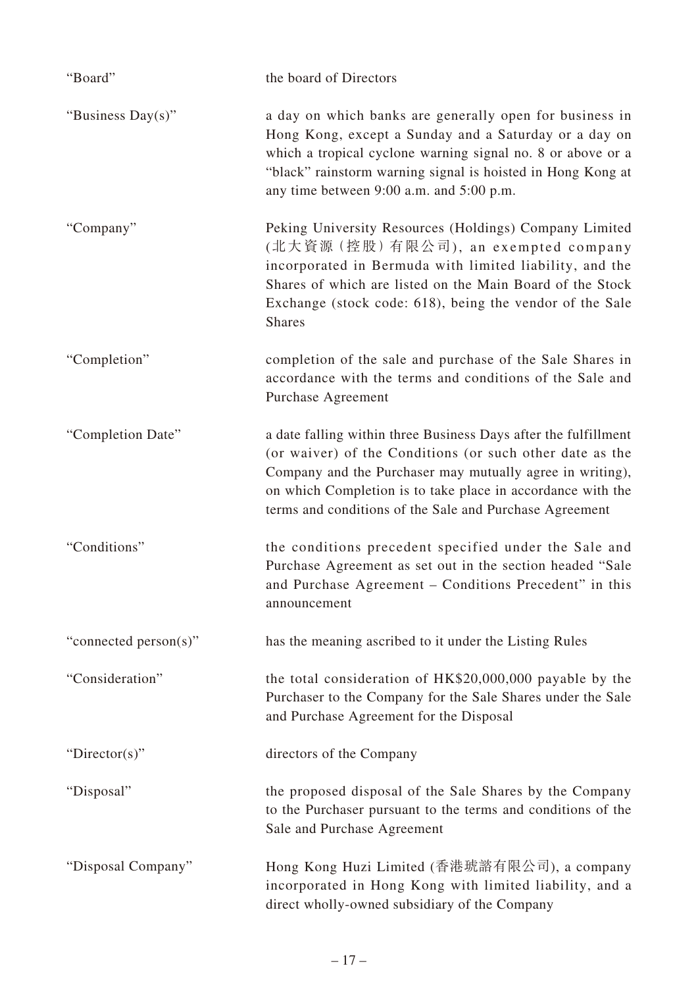| "Board"               | the board of Directors                                                                                                                                                                                                                                                                                             |
|-----------------------|--------------------------------------------------------------------------------------------------------------------------------------------------------------------------------------------------------------------------------------------------------------------------------------------------------------------|
| "Business Day(s)"     | a day on which banks are generally open for business in<br>Hong Kong, except a Sunday and a Saturday or a day on<br>which a tropical cyclone warning signal no. 8 or above or a<br>"black" rainstorm warning signal is hoisted in Hong Kong at<br>any time between 9:00 a.m. and 5:00 p.m.                         |
| "Company"             | Peking University Resources (Holdings) Company Limited<br>(北大資源 (控股) 有限公司), an exempted company<br>incorporated in Bermuda with limited liability, and the<br>Shares of which are listed on the Main Board of the Stock<br>Exchange (stock code: 618), being the vendor of the Sale<br><b>Shares</b>               |
| "Completion"          | completion of the sale and purchase of the Sale Shares in<br>accordance with the terms and conditions of the Sale and<br>Purchase Agreement                                                                                                                                                                        |
| "Completion Date"     | a date falling within three Business Days after the fulfillment<br>(or waiver) of the Conditions (or such other date as the<br>Company and the Purchaser may mutually agree in writing),<br>on which Completion is to take place in accordance with the<br>terms and conditions of the Sale and Purchase Agreement |
| "Conditions"          | the conditions precedent specified under the Sale and<br>Purchase Agreement as set out in the section headed "Sale<br>and Purchase Agreement – Conditions Precedent" in this<br>announcement                                                                                                                       |
| "connected person(s)" | has the meaning ascribed to it under the Listing Rules                                                                                                                                                                                                                                                             |
| "Consideration"       | the total consideration of HK\$20,000,000 payable by the<br>Purchaser to the Company for the Sale Shares under the Sale<br>and Purchase Agreement for the Disposal                                                                                                                                                 |
| "Director(s)"         | directors of the Company                                                                                                                                                                                                                                                                                           |
| "Disposal"            | the proposed disposal of the Sale Shares by the Company<br>to the Purchaser pursuant to the terms and conditions of the<br>Sale and Purchase Agreement                                                                                                                                                             |
| "Disposal Company"    | Hong Kong Huzi Limited (香港琥諮有限公司), a company<br>incorporated in Hong Kong with limited liability, and a<br>direct wholly-owned subsidiary of the Company                                                                                                                                                           |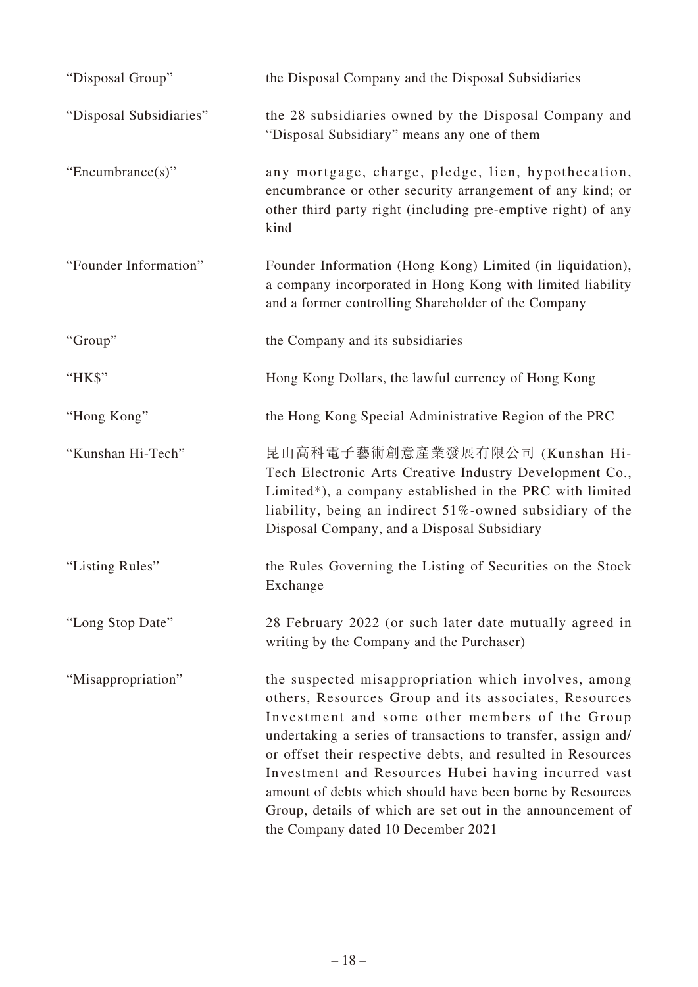| "Disposal Group"        | the Disposal Company and the Disposal Subsidiaries                                                                                                                                                                                                                                                                                                                                                                                                                                                                      |
|-------------------------|-------------------------------------------------------------------------------------------------------------------------------------------------------------------------------------------------------------------------------------------------------------------------------------------------------------------------------------------------------------------------------------------------------------------------------------------------------------------------------------------------------------------------|
| "Disposal Subsidiaries" | the 28 subsidiaries owned by the Disposal Company and<br>"Disposal Subsidiary" means any one of them                                                                                                                                                                                                                                                                                                                                                                                                                    |
| "Encumbrance $(s)$ "    | any mortgage, charge, pledge, lien, hypothecation,<br>encumbrance or other security arrangement of any kind; or<br>other third party right (including pre-emptive right) of any<br>kind                                                                                                                                                                                                                                                                                                                                 |
| "Founder Information"   | Founder Information (Hong Kong) Limited (in liquidation),<br>a company incorporated in Hong Kong with limited liability<br>and a former controlling Shareholder of the Company                                                                                                                                                                                                                                                                                                                                          |
| "Group"                 | the Company and its subsidiaries                                                                                                                                                                                                                                                                                                                                                                                                                                                                                        |
| "HK\$"                  | Hong Kong Dollars, the lawful currency of Hong Kong                                                                                                                                                                                                                                                                                                                                                                                                                                                                     |
| "Hong Kong"             | the Hong Kong Special Administrative Region of the PRC                                                                                                                                                                                                                                                                                                                                                                                                                                                                  |
| "Kunshan Hi-Tech"       | 昆山高科電子藝術創意產業發展有限公司 (Kunshan Hi-<br>Tech Electronic Arts Creative Industry Development Co.,<br>Limited*), a company established in the PRC with limited<br>liability, being an indirect 51%-owned subsidiary of the<br>Disposal Company, and a Disposal Subsidiary                                                                                                                                                                                                                                                       |
| "Listing Rules"         | the Rules Governing the Listing of Securities on the Stock<br>Exchange                                                                                                                                                                                                                                                                                                                                                                                                                                                  |
| "Long Stop Date"        | 28 February 2022 (or such later date mutually agreed in<br>writing by the Company and the Purchaser)                                                                                                                                                                                                                                                                                                                                                                                                                    |
| "Misappropriation"      | the suspected misappropriation which involves, among<br>others, Resources Group and its associates, Resources<br>Investment and some other members of the Group<br>undertaking a series of transactions to transfer, assign and/<br>or offset their respective debts, and resulted in Resources<br>Investment and Resources Hubei having incurred vast<br>amount of debts which should have been borne by Resources<br>Group, details of which are set out in the announcement of<br>the Company dated 10 December 2021 |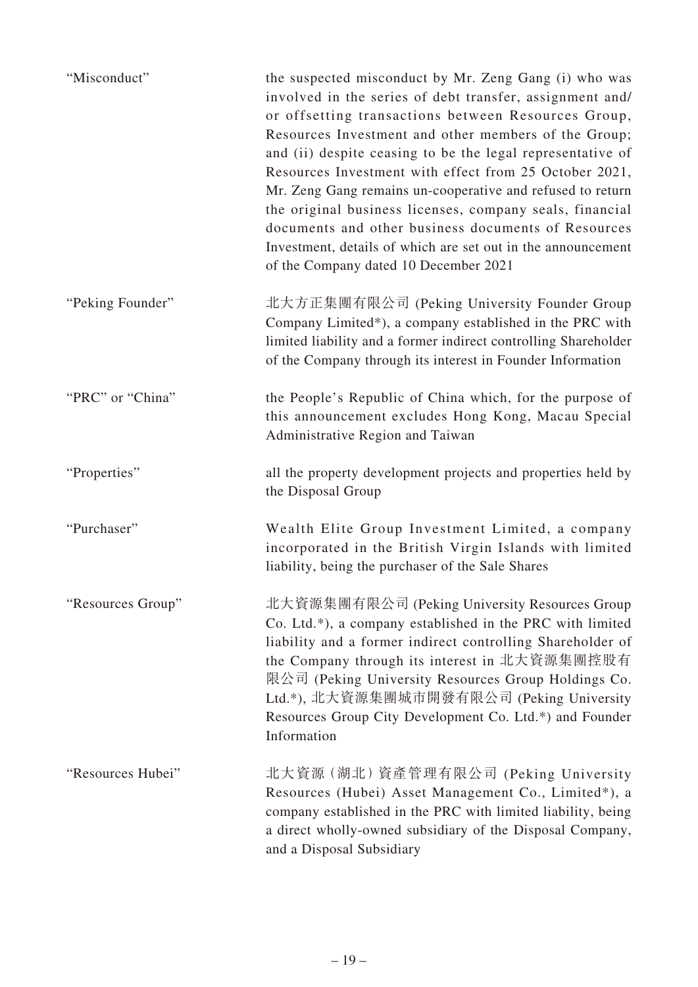| "Misconduct"      | the suspected misconduct by Mr. Zeng Gang (i) who was<br>involved in the series of debt transfer, assignment and/<br>or offsetting transactions between Resources Group,<br>Resources Investment and other members of the Group;<br>and (ii) despite ceasing to be the legal representative of<br>Resources Investment with effect from 25 October 2021,<br>Mr. Zeng Gang remains un-cooperative and refused to return<br>the original business licenses, company seals, financial<br>documents and other business documents of Resources<br>Investment, details of which are set out in the announcement<br>of the Company dated 10 December 2021 |
|-------------------|----------------------------------------------------------------------------------------------------------------------------------------------------------------------------------------------------------------------------------------------------------------------------------------------------------------------------------------------------------------------------------------------------------------------------------------------------------------------------------------------------------------------------------------------------------------------------------------------------------------------------------------------------|
| "Peking Founder"  | 北大方正集團有限公司 (Peking University Founder Group<br>Company Limited*), a company established in the PRC with<br>limited liability and a former indirect controlling Shareholder<br>of the Company through its interest in Founder Information                                                                                                                                                                                                                                                                                                                                                                                                           |
| "PRC" or "China"  | the People's Republic of China which, for the purpose of<br>this announcement excludes Hong Kong, Macau Special<br>Administrative Region and Taiwan                                                                                                                                                                                                                                                                                                                                                                                                                                                                                                |
| "Properties"      | all the property development projects and properties held by<br>the Disposal Group                                                                                                                                                                                                                                                                                                                                                                                                                                                                                                                                                                 |
| "Purchaser"       | Wealth Elite Group Investment Limited, a company<br>incorporated in the British Virgin Islands with limited<br>liability, being the purchaser of the Sale Shares                                                                                                                                                                                                                                                                                                                                                                                                                                                                                   |
| "Resources Group" | 北大資源集團有限公司 (Peking University Resources Group<br>Co. Ltd.*), a company established in the PRC with limited<br>liability and a former indirect controlling Shareholder of<br>the Company through its interest in 北大資源集團控股有<br>限公司 (Peking University Resources Group Holdings Co.<br>Ltd.*), 北大資源集團城市開發有限公司 (Peking University<br>Resources Group City Development Co. Ltd.*) and Founder<br>Information                                                                                                                                                                                                                                            |
| "Resources Hubei" | 北大資源 (湖北) 資產管理有限公司 (Peking University<br>Resources (Hubei) Asset Management Co., Limited*), a<br>company established in the PRC with limited liability, being<br>a direct wholly-owned subsidiary of the Disposal Company,<br>and a Disposal Subsidiary                                                                                                                                                                                                                                                                                                                                                                                            |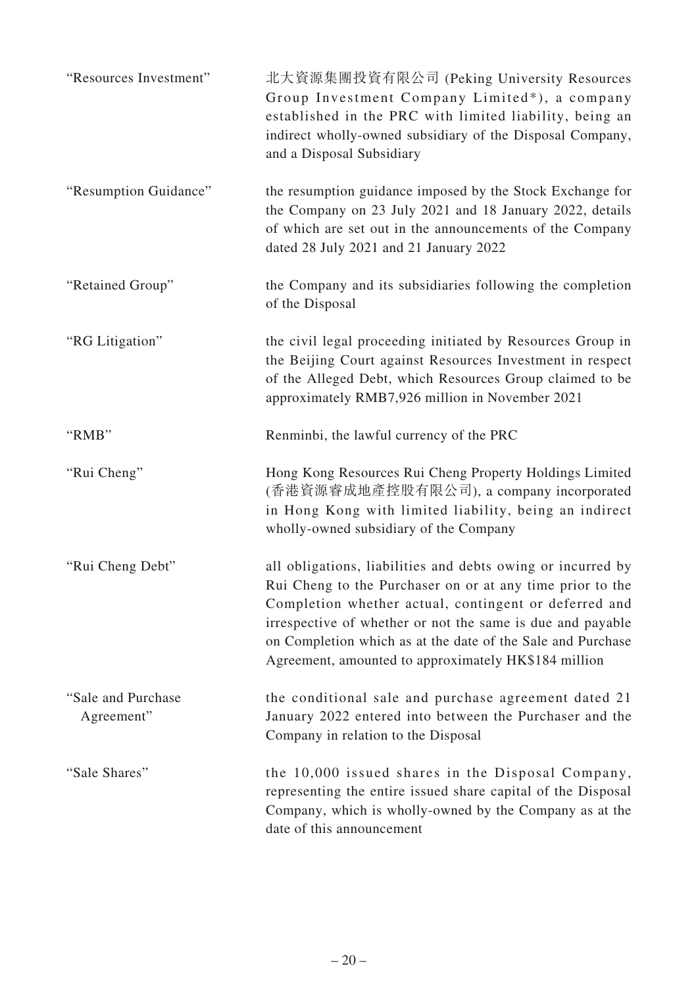| "Resources Investment"            | 北大資源集團投資有限公司 (Peking University Resources<br>Group Investment Company Limited*), a company<br>established in the PRC with limited liability, being an<br>indirect wholly-owned subsidiary of the Disposal Company,<br>and a Disposal Subsidiary                                                                                                                        |
|-----------------------------------|------------------------------------------------------------------------------------------------------------------------------------------------------------------------------------------------------------------------------------------------------------------------------------------------------------------------------------------------------------------------|
| "Resumption Guidance"             | the resumption guidance imposed by the Stock Exchange for<br>the Company on 23 July 2021 and 18 January 2022, details<br>of which are set out in the announcements of the Company<br>dated 28 July 2021 and 21 January 2022                                                                                                                                            |
| "Retained Group"                  | the Company and its subsidiaries following the completion<br>of the Disposal                                                                                                                                                                                                                                                                                           |
| "RG Litigation"                   | the civil legal proceeding initiated by Resources Group in<br>the Beijing Court against Resources Investment in respect<br>of the Alleged Debt, which Resources Group claimed to be<br>approximately RMB7,926 million in November 2021                                                                                                                                 |
| "RMB"                             | Renminbi, the lawful currency of the PRC                                                                                                                                                                                                                                                                                                                               |
| "Rui Cheng"                       | Hong Kong Resources Rui Cheng Property Holdings Limited<br>(香港資源睿成地產控股有限公司), a company incorporated<br>in Hong Kong with limited liability, being an indirect<br>wholly-owned subsidiary of the Company                                                                                                                                                                |
| "Rui Cheng Debt"                  | all obligations, liabilities and debts owing or incurred by<br>Rui Cheng to the Purchaser on or at any time prior to the<br>Completion whether actual, contingent or deferred and<br>irrespective of whether or not the same is due and payable<br>on Completion which as at the date of the Sale and Purchase<br>Agreement, amounted to approximately HK\$184 million |
| "Sale and Purchase"<br>Agreement" | the conditional sale and purchase agreement dated 21<br>January 2022 entered into between the Purchaser and the<br>Company in relation to the Disposal                                                                                                                                                                                                                 |
| "Sale Shares"                     | the 10,000 issued shares in the Disposal Company,<br>representing the entire issued share capital of the Disposal<br>Company, which is wholly-owned by the Company as at the<br>date of this announcement                                                                                                                                                              |